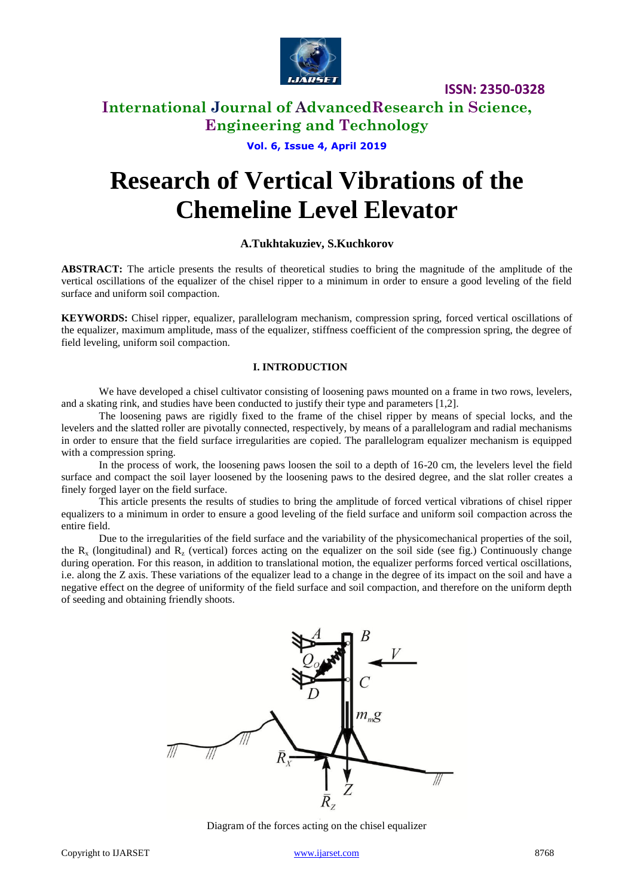

**ISSN: 2350-0328**

# **International Journal of AdvancedResearch in Science, Engineering and Technology**

**Vol. 6, Issue 4, April 2019**

# **Research of Vertical Vibrations of the Chemeline Level Elevator**

## **A.Tukhtakuziev, S.Kuchkorov**

**ABSTRACT:** The article presents the results of theoretical studies to bring the magnitude of the amplitude of the vertical oscillations of the equalizer of the chisel ripper to a minimum in order to ensure a good leveling of the field surface and uniform soil compaction.

**KEYWORDS:** Chisel ripper, equalizer, parallelogram mechanism, compression spring, forced vertical oscillations of the equalizer, maximum amplitude, mass of the equalizer, stiffness coefficient of the compression spring, the degree of field leveling, uniform soil compaction.

#### **I. INTRODUCTION**

We have developed a chisel cultivator consisting of loosening paws mounted on a frame in two rows, levelers, and a skating rink, and studies have been conducted to justify their type and parameters [1,2].

The loosening paws are rigidly fixed to the frame of the chisel ripper by means of special locks, and the levelers and the slatted roller are pivotally connected, respectively, by means of a parallelogram and radial mechanisms in order to ensure that the field surface irregularities are copied. The parallelogram equalizer mechanism is equipped with a compression spring.

In the process of work, the loosening paws loosen the soil to a depth of 16-20 cm, the levelers level the field surface and compact the soil layer loosened by the loosening paws to the desired degree, and the slat roller creates a finely forged layer on the field surface.

This article presents the results of studies to bring the amplitude of forced vertical vibrations of chisel ripper equalizers to a minimum in order to ensure a good leveling of the field surface and uniform soil compaction across the entire field.

Due to the irregularities of the field surface and the variability of the physicomechanical properties of the soil, the  $R_x$  (longitudinal) and  $R_z$  (vertical) forces acting on the equalizer on the soil side (see fig.) Continuously change during operation. For this reason, in addition to translational motion, the equalizer performs forced vertical oscillations, i.e. along the Z axis. These variations of the equalizer lead to a change in the degree of its impact on the soil and have a negative effect on the degree of uniformity of the field surface and soil compaction, and therefore on the uniform depth of seeding and obtaining friendly shoots.



Diagram of the forces acting on the chisel equalizer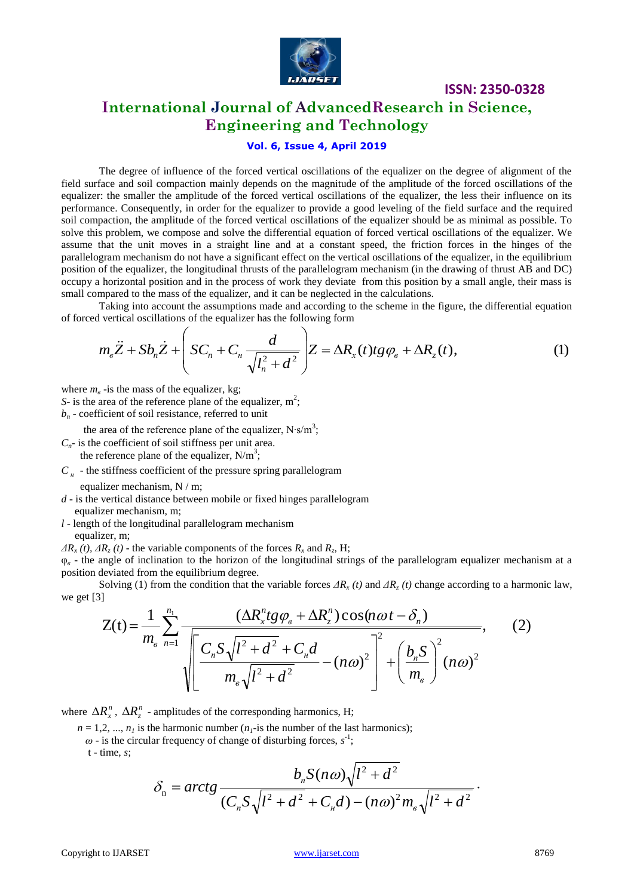

**ISSN: 2350-0328**

# **International Journal of AdvancedResearch in Science, Engineering and Technology**

### **Vol. 6, Issue 4, April 2019**

The degree of influence of the forced vertical oscillations of the equalizer on the degree of alignment of the field surface and soil compaction mainly depends on the magnitude of the amplitude of the forced oscillations of the equalizer: the smaller the amplitude of the forced vertical oscillations of the equalizer, the less their influence on its performance. Consequently, in order for the equalizer to provide a good leveling of the field surface and the required soil compaction, the amplitude of the forced vertical oscillations of the equalizer should be as minimal as possible. To solve this problem, we compose and solve the differential equation of forced vertical oscillations of the equalizer. We assume that the unit moves in a straight line and at a constant speed, the friction forces in the hinges of the parallelogram mechanism do not have a significant effect on the vertical oscillations of the equalizer, in the equilibrium position of the equalizer, the longitudinal thrusts of the parallelogram mechanism (in the drawing of thrust AB and DC) occupy a horizontal position and in the process of work they deviate from this position by a small angle, their mass is small compared to the mass of the equalizer, and it can be neglected in the calculations.

Taking into account the assumptions made and according to the scheme in the figure, the differential equation of forced vertical oscillations of the equalizer has the following form

mpared to the mass of the equalizer, and it can be neglected in the calculations.  
Taking into account the assumptions made and according to the scheme in the figure, the differential equation  
d vertical oscillations of the equalizer has the following form  

$$
m_e \ddot{Z} + Sb_n \dot{Z} + \left( SC_n + C_n \frac{d}{\sqrt{l_n^2 + d^2}} \right) Z = \Delta R_x(t)tg\varphi_s + \Delta R_z(t),
$$
(1)

where  $m_e$  -is the mass of the equalizer, kg;

 $S<sub>1</sub>$  is the area of the reference plane of the equalizer, m<sup>2</sup>;

 $b_n$  - coefficient of soil resistance, referred to unit

the area of the reference plane of the equalizer, N⋅s/m<sup>3</sup>;

*Cn*- is the coefficient of soil stiffness per unit area.

the reference plane of the equalizer,  $N/m^3$ ;

 $C_{\mu}$  - the stiffness coefficient of the pressure spring parallelogram

equalizer mechanism, N / m;

- *d* is the vertical distance between mobile or fixed hinges parallelogram equalizer mechanism, m;
- *l*  length of the longitudinal parallelogram mechanism equalizer, m;

 $\Delta R_x(t)$ ,  $\Delta R_z(t)$  - the variable components of the forces  $R_x$  and  $R_z$ , H;

 $\varphi$ <sub>e</sub> - the angle of inclination to the horizon of the longitudinal strings of the parallelogram equalizer mechanism at a position deviated from the equilibrium degree.

Solving (1) from the condition that the variable forces  $\Delta R_r(t)$  and  $\Delta R_z(t)$  change according to a harmonic law, we get [3]

$$
Z(t) = \frac{1}{m_e} \sum_{n=1}^{n_1} \frac{(\Delta R_x^n t g \varphi_\varepsilon + \Delta R_z^n) \cos(n\omega t - \delta_n)}{\sqrt{\left[\frac{C_n S \sqrt{l^2 + d^2} + C_n d}{m_e \sqrt{l^2 + d^2}} - (n\omega)^2\right]^2 + \left(\frac{b_n S}{m_e}\right)^2 (n\omega)^2}},
$$
(2)

where  $\Delta R_x^n$ ,  $\Delta R_z^n$  - amplitudes of the corresponding harmonics, H;

 $n = 1, 2, \dots, n_l$  is the harmonic number  $(n_l$ -is the number of the last harmonics);

 $\omega$  - is the circular frequency of change of disturbing forces,  $s^{-1}$ ;

t - time, *s*;

$$
\delta_{\rm n} = \arctg \frac{b_{\rm n} S(n\omega) \sqrt{l^2 + d^2}}{(C_{\rm n} S \sqrt{l^2 + d^2} + C_{\rm n} d) - (n\omega)^2 m_{\rm s} \sqrt{l^2 + d^2}}.
$$